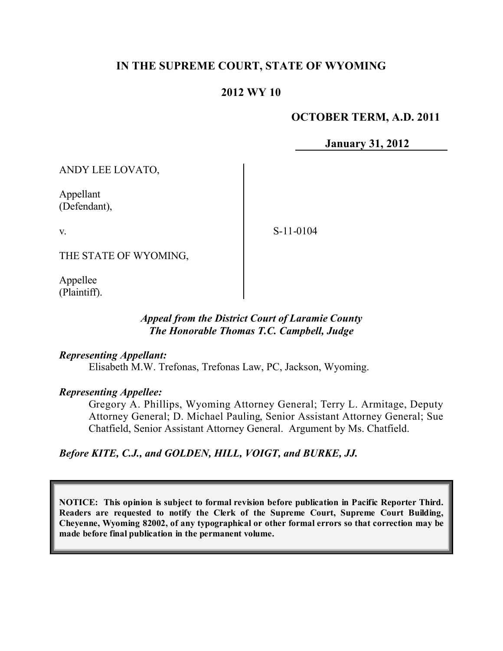# **IN THE SUPREME COURT, STATE OF WYOMING**

# **2012 WY 10**

### **OCTOBER TERM, A.D. 2011**

**January 31, 2012**

ANDY LEE LOVATO,

Appellant (Defendant),

v.

S-11-0104

THE STATE OF WYOMING,

Appellee (Plaintiff).

# *Appeal from the District Court of Laramie County The Honorable Thomas T.C. Campbell, Judge*

### *Representing Appellant:*

Elisabeth M.W. Trefonas, Trefonas Law, PC, Jackson, Wyoming.

### *Representing Appellee:*

Gregory A. Phillips, Wyoming Attorney General; Terry L. Armitage, Deputy Attorney General; D. Michael Pauling, Senior Assistant Attorney General; Sue Chatfield, Senior Assistant Attorney General. Argument by Ms. Chatfield.

# *Before KITE, C.J., and GOLDEN, HILL, VOIGT, and BURKE, JJ.*

**NOTICE: This opinion is subject to formal revision before publication in Pacific Reporter Third. Readers are requested to notify the Clerk of the Supreme Court, Supreme Court Building, Cheyenne, Wyoming 82002, of any typographical or other formal errors so that correction may be made before final publication in the permanent volume.**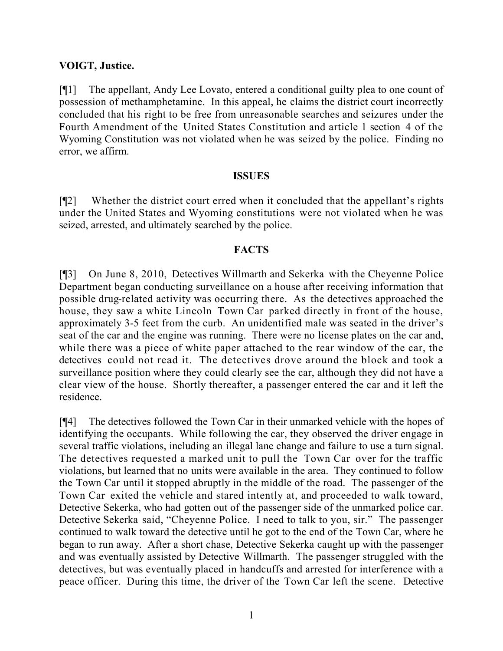### **VOIGT, Justice.**

[¶1] The appellant, Andy Lee Lovato, entered a conditional guilty plea to one count of possession of methamphetamine. In this appeal, he claims the district court incorrectly concluded that his right to be free from unreasonable searches and seizures under the Fourth Amendment of the United States Constitution and article 1 section 4 of the Wyoming Constitution was not violated when he was seized by the police. Finding no error, we affirm.

#### **ISSUES**

[¶2] Whether the district court erred when it concluded that the appellant's rights under the United States and Wyoming constitutions were not violated when he was seized, arrested, and ultimately searched by the police.

### **FACTS**

[¶3] On June 8, 2010, Detectives Willmarth and Sekerka with the Cheyenne Police Department began conducting surveillance on a house after receiving information that possible drug-related activity was occurring there. As the detectives approached the house, they saw a white Lincoln Town Car parked directly in front of the house, approximately 3-5 feet from the curb. An unidentified male was seated in the driver's seat of the car and the engine was running. There were no license plates on the car and, while there was a piece of white paper attached to the rear window of the car, the detectives could not read it. The detectives drove around the block and took a surveillance position where they could clearly see the car, although they did not have a clear view of the house. Shortly thereafter, a passenger entered the car and it left the residence.

[¶4] The detectives followed the Town Car in their unmarked vehicle with the hopes of identifying the occupants. While following the car, they observed the driver engage in several traffic violations, including an illegal lane change and failure to use a turn signal. The detectives requested a marked unit to pull the Town Car over for the traffic violations, but learned that no units were available in the area. They continued to follow the Town Car until it stopped abruptly in the middle of the road. The passenger of the Town Car exited the vehicle and stared intently at, and proceeded to walk toward, Detective Sekerka, who had gotten out of the passenger side of the unmarked police car. Detective Sekerka said, "Cheyenne Police. I need to talk to you, sir." The passenger continued to walk toward the detective until he got to the end of the Town Car, where he began to run away. After a short chase, Detective Sekerka caught up with the passenger and was eventually assisted by Detective Willmarth. The passenger struggled with the detectives, but was eventually placed in handcuffs and arrested for interference with a peace officer. During this time, the driver of the Town Car left the scene. Detective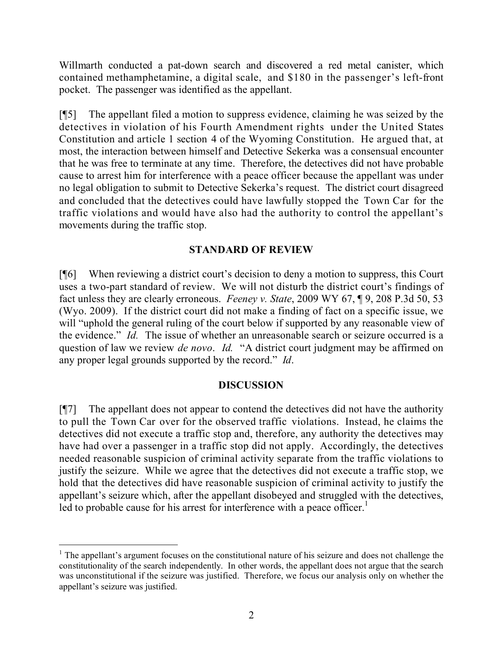Willmarth conducted a pat-down search and discovered a red metal canister, which contained methamphetamine, a digital scale, and \$180 in the passenger's left-front pocket. The passenger was identified as the appellant.

[¶5] The appellant filed a motion to suppress evidence, claiming he was seized by the detectives in violation of his Fourth Amendment rights under the United States Constitution and article 1 section 4 of the Wyoming Constitution. He argued that, at most, the interaction between himself and Detective Sekerka was a consensual encounter that he was free to terminate at any time. Therefore, the detectives did not have probable cause to arrest him for interference with a peace officer because the appellant was under no legal obligation to submit to Detective Sekerka's request. The district court disagreed and concluded that the detectives could have lawfully stopped the Town Car for the traffic violations and would have also had the authority to control the appellant's movements during the traffic stop.

# **STANDARD OF REVIEW**

[¶6] When reviewing a district court's decision to deny a motion to suppress, this Court uses a two-part standard of review. We will not disturb the district court's findings of fact unless they are clearly erroneous. *Feeney v. State*, 2009 WY 67, ¶ 9, 208 P.3d 50, 53 (Wyo. 2009). If the district court did not make a finding of fact on a specific issue, we will "uphold the general ruling of the court below if supported by any reasonable view of the evidence." *Id.* The issue of whether an unreasonable search or seizure occurred is a question of law we review *de novo*. *Id.* "A district court judgment may be affirmed on any proper legal grounds supported by the record." *Id*.

# **DISCUSSION**

[¶7] The appellant does not appear to contend the detectives did not have the authority to pull the Town Car over for the observed traffic violations. Instead, he claims the detectives did not execute a traffic stop and, therefore, any authority the detectives may have had over a passenger in a traffic stop did not apply. Accordingly, the detectives needed reasonable suspicion of criminal activity separate from the traffic violations to justify the seizure. While we agree that the detectives did not execute a traffic stop, we hold that the detectives did have reasonable suspicion of criminal activity to justify the appellant's seizure which, after the appellant disobeyed and struggled with the detectives, led to probable cause for his arrest for interference with a peace officer.<sup>1</sup>

 $\overline{a}$ 

 $<sup>1</sup>$  The appellant's argument focuses on the constitutional nature of his seizure and does not challenge the</sup> constitutionality of the search independently. In other words, the appellant does not argue that the search was unconstitutional if the seizure was justified. Therefore, we focus our analysis only on whether the appellant's seizure was justified.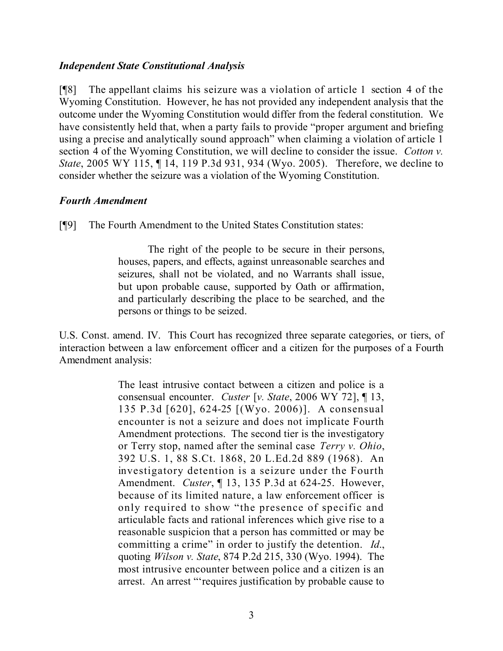### *Independent State Constitutional Analysis*

[¶8] The appellant claims his seizure was a violation of article 1 section 4 of the Wyoming Constitution. However, he has not provided any independent analysis that the outcome under the Wyoming Constitution would differ from the federal constitution. We have consistently held that, when a party fails to provide "proper argument and briefing using a precise and analytically sound approach" when claiming a violation of article 1 section 4 of the Wyoming Constitution, we will decline to consider the issue. *Cotton v. State*, 2005 WY 115, ¶ 14, 119 P.3d 931, 934 (Wyo. 2005). Therefore, we decline to consider whether the seizure was a violation of the Wyoming Constitution.

# *Fourth Amendment*

[¶9] The Fourth Amendment to the United States Constitution states:

The right of the people to be secure in their persons, houses, papers, and effects, against unreasonable searches and seizures, shall not be violated, and no Warrants shall issue, but upon probable cause, supported by Oath or affirmation, and particularly describing the place to be searched, and the persons or things to be seized.

U.S. Const. amend. IV. This Court has recognized three separate categories, or tiers, of interaction between a law enforcement officer and a citizen for the purposes of a Fourth Amendment analysis:

> The least intrusive contact between a citizen and police is a consensual encounter. *Custer* [*v. State*, 2006 WY 72], ¶ 13, 135 P.3d [620], 624-25 [(Wyo. 2006)]. A consensual encounter is not a seizure and does not implicate Fourth Amendment protections. The second tier is the investigatory or Terry stop, named after the seminal case *Terry v. Ohio*, 392 U.S. 1, 88 S.Ct. 1868, 20 L.Ed.2d 889 (1968). An investigatory detention is a seizure under the Fourth Amendment. *Custer*, ¶ 13, 135 P.3d at 624-25. However, because of its limited nature, a law enforcement officer is only required to show "the presence of specific and articulable facts and rational inferences which give rise to a reasonable suspicion that a person has committed or may be committing a crime" in order to justify the detention. *Id*., quoting *Wilson v. State*, 874 P.2d 215, 330 (Wyo. 1994). The most intrusive encounter between police and a citizen is an arrest. An arrest "'requires justification by probable cause to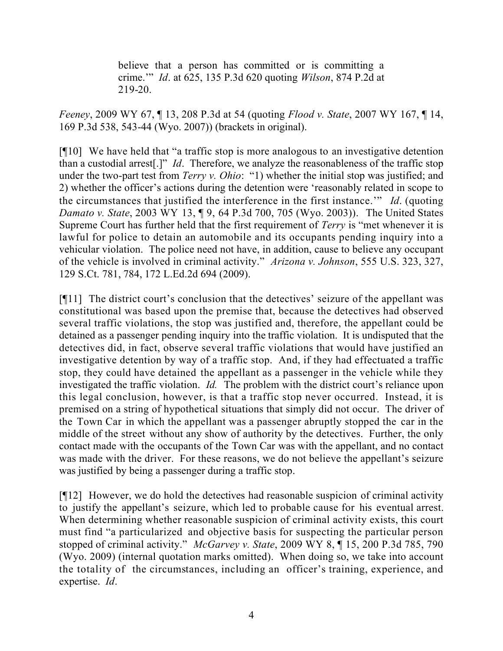believe that a person has committed or is committing a crime.'" *Id*. at 625, 135 P.3d 620 quoting *Wilson*, 874 P.2d at 219-20.

*Feeney*, 2009 WY 67, ¶ 13, 208 P.3d at 54 (quoting *Flood v. State*, 2007 WY 167, ¶ 14, 169 P.3d 538, 543-44 (Wyo. 2007)) (brackets in original).

[¶10] We have held that "a traffic stop is more analogous to an investigative detention than a custodial arrest[.]" *Id*. Therefore, we analyze the reasonableness of the traffic stop under the two-part test from *Terry v. Ohio*: "1) whether the initial stop was justified; and 2) whether the officer's actions during the detention were 'reasonably related in scope to the circumstances that justified the interference in the first instance.'" *Id*. (quoting *Damato v. State*, 2003 WY 13, ¶ 9, 64 P.3d 700, 705 (Wyo. 2003)). The United States Supreme Court has further held that the first requirement of *Terry* is "met whenever it is lawful for police to detain an automobile and its occupants pending inquiry into a vehicular violation. The police need not have, in addition, cause to believe any occupant of the vehicle is involved in criminal activity." *Arizona v. Johnson*, 555 U.S. 323, 327, 129 S.Ct. 781, 784, 172 L.Ed.2d 694 (2009).

[¶11] The district court's conclusion that the detectives' seizure of the appellant was constitutional was based upon the premise that, because the detectives had observed several traffic violations, the stop was justified and, therefore, the appellant could be detained as a passenger pending inquiry into the traffic violation. It is undisputed that the detectives did, in fact, observe several traffic violations that would have justified an investigative detention by way of a traffic stop. And, if they had effectuated a traffic stop, they could have detained the appellant as a passenger in the vehicle while they investigated the traffic violation. *Id.* The problem with the district court's reliance upon this legal conclusion, however, is that a traffic stop never occurred. Instead, it is premised on a string of hypothetical situations that simply did not occur. The driver of the Town Car in which the appellant was a passenger abruptly stopped the car in the middle of the street without any show of authority by the detectives. Further, the only contact made with the occupants of the Town Car was with the appellant, and no contact was made with the driver. For these reasons, we do not believe the appellant's seizure was justified by being a passenger during a traffic stop.

[¶12] However, we do hold the detectives had reasonable suspicion of criminal activity to justify the appellant's seizure, which led to probable cause for his eventual arrest. When determining whether reasonable suspicion of criminal activity exists, this court must find "a particularized and objective basis for suspecting the particular person stopped of criminal activity." *McGarvey v. State*, 2009 WY 8, ¶ 15, 200 P.3d 785, 790 (Wyo. 2009) (internal quotation marks omitted). When doing so, we take into account the totality of the circumstances, including an officer's training, experience, and expertise. *Id*.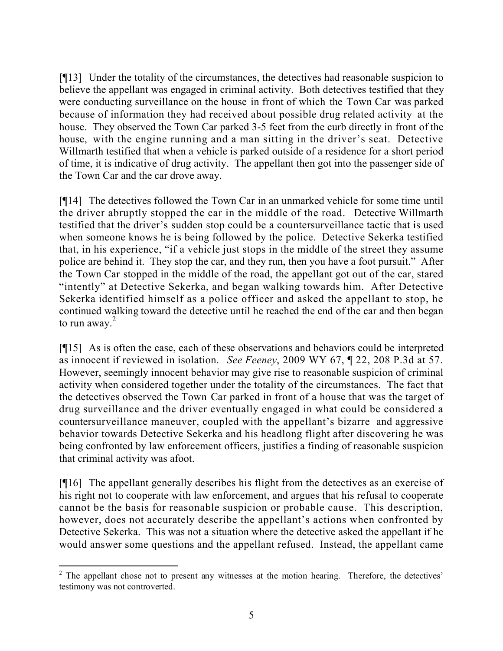[¶13] Under the totality of the circumstances, the detectives had reasonable suspicion to believe the appellant was engaged in criminal activity. Both detectives testified that they were conducting surveillance on the house in front of which the Town Car was parked because of information they had received about possible drug related activity at the house. They observed the Town Car parked 3-5 feet from the curb directly in front of the house, with the engine running and a man sitting in the driver's seat. Detective Willmarth testified that when a vehicle is parked outside of a residence for a short period of time, it is indicative of drug activity. The appellant then got into the passenger side of the Town Car and the car drove away.

[¶14] The detectives followed the Town Car in an unmarked vehicle for some time until the driver abruptly stopped the car in the middle of the road. Detective Willmarth testified that the driver's sudden stop could be a countersurveillance tactic that is used when someone knows he is being followed by the police. Detective Sekerka testified that, in his experience, "if a vehicle just stops in the middle of the street they assume police are behind it. They stop the car, and they run, then you have a foot pursuit." After the Town Car stopped in the middle of the road, the appellant got out of the car, stared "intently" at Detective Sekerka, and began walking towards him. After Detective Sekerka identified himself as a police officer and asked the appellant to stop, he continued walking toward the detective until he reached the end of the car and then began to run away. $2$ 

[¶15] As is often the case, each of these observations and behaviors could be interpreted as innocent if reviewed in isolation. *See Feeney*, 2009 WY 67, ¶ 22, 208 P.3d at 57. However, seemingly innocent behavior may give rise to reasonable suspicion of criminal activity when considered together under the totality of the circumstances. The fact that the detectives observed the Town Car parked in front of a house that was the target of drug surveillance and the driver eventually engaged in what could be considered a countersurveillance maneuver, coupled with the appellant's bizarre and aggressive behavior towards Detective Sekerka and his headlong flight after discovering he was being confronted by law enforcement officers, justifies a finding of reasonable suspicion that criminal activity was afoot.

[¶16] The appellant generally describes his flight from the detectives as an exercise of his right not to cooperate with law enforcement, and argues that his refusal to cooperate cannot be the basis for reasonable suspicion or probable cause. This description, however, does not accurately describe the appellant's actions when confronted by Detective Sekerka. This was not a situation where the detective asked the appellant if he would answer some questions and the appellant refused. Instead, the appellant came

l  $2$  The appellant chose not to present any witnesses at the motion hearing. Therefore, the detectives' testimony was not controverted.